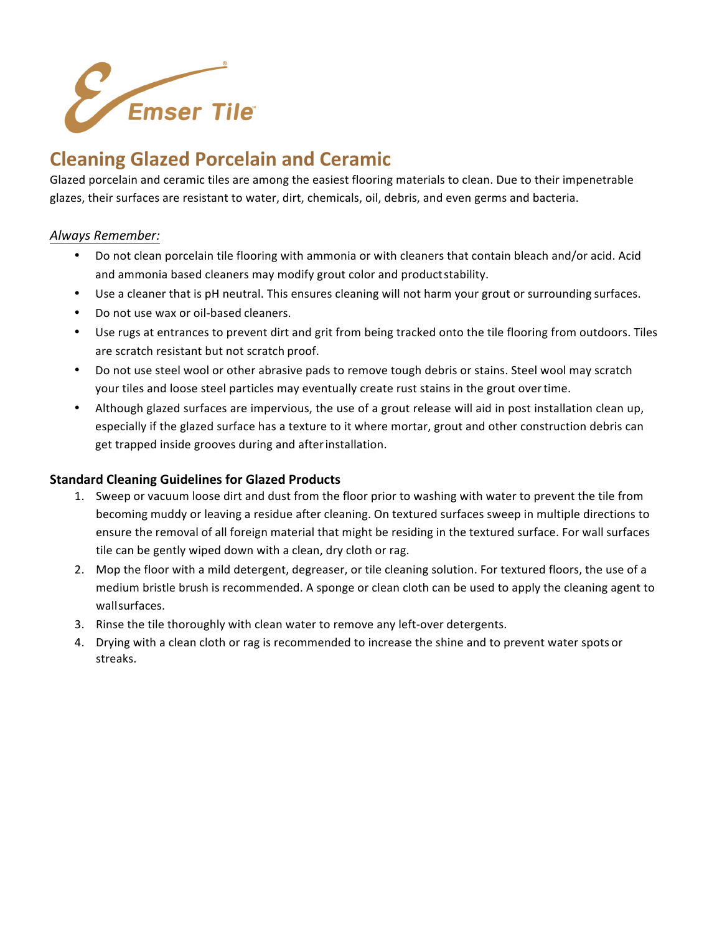

### **Cleaning Glazed Porcelain and Ceramic**

Glazed porcelain and ceramic tiles are among the easiest flooring materials to clean. Due to their impenetrable glazes, their surfaces are resistant to water, dirt, chemicals, oil, debris, and even germs and bacteria.

### *Always Remember:*

- Do not clean porcelain tile flooring with ammonia or with cleaners that contain bleach and/or acid. Acid and ammonia based cleaners may modify grout color and productstability.
- Use a cleaner that is pH neutral. This ensures cleaning will not harm your grout or surrounding surfaces.
- Do not use wax or oil-based cleaners.
- Use rugs at entrances to prevent dirt and grit from being tracked onto the tile flooring from outdoors. Tiles are scratch resistant but not scratch proof.
- Do not use steel wool or other abrasive pads to remove tough debris or stains. Steel wool may scratch your tiles and loose steel particles may eventually create rust stains in the grout overtime.
- Although glazed surfaces are impervious, the use of a grout release will aid in post installation clean up, especially if the glazed surface has a texture to it where mortar, grout and other construction debris can get trapped inside grooves during and afterinstallation.

### **Standard Cleaning Guidelines for Glazed Products**

- 1. Sweep or vacuum loose dirt and dust from the floor prior to washing with water to prevent the tile from becoming muddy or leaving a residue after cleaning. On textured surfaces sweep in multiple directions to ensure the removal of all foreign material that might be residing in the textured surface. For wall surfaces tile can be gently wiped down with a clean, dry cloth or rag.
- 2. Mop the floor with a mild detergent, degreaser, or tile cleaning solution. For textured floors, the use of a medium bristle brush is recommended. A sponge or clean cloth can be used to apply the cleaning agent to wallsurfaces.
- 3. Rinse the tile thoroughly with clean water to remove any left-over detergents.
- 4. Drying with a clean cloth or rag is recommended to increase the shine and to prevent water spots or streaks.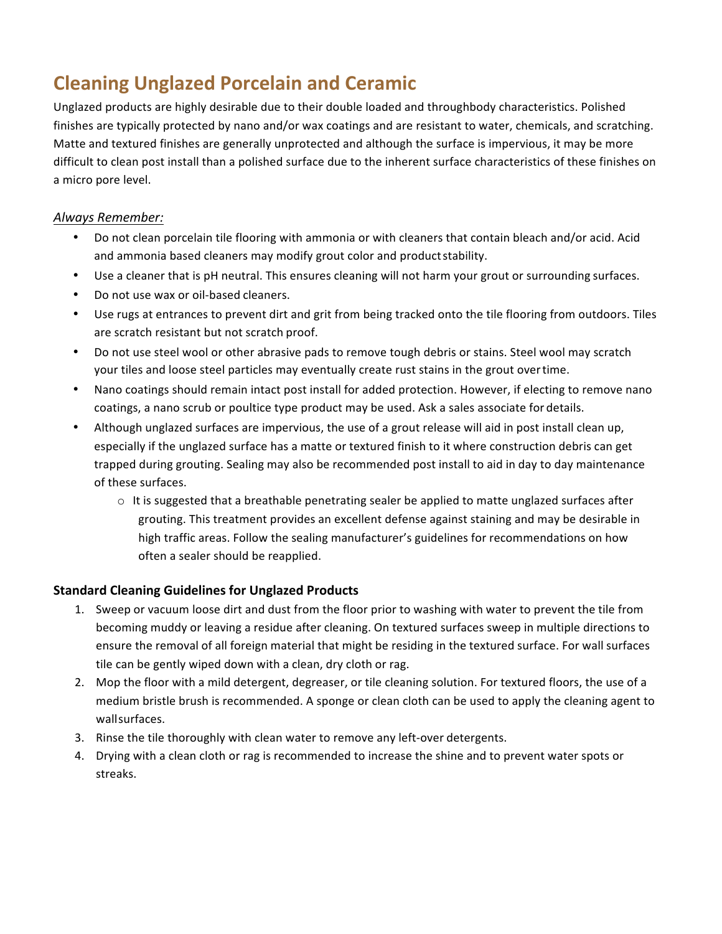# **Cleaning Unglazed Porcelain and Ceramic**

Unglazed products are highly desirable due to their double loaded and throughbody characteristics. Polished finishes are typically protected by nano and/or wax coatings and are resistant to water, chemicals, and scratching. Matte and textured finishes are generally unprotected and although the surface is impervious, it may be more difficult to clean post install than a polished surface due to the inherent surface characteristics of these finishes on a micro pore level.

### *Always Remember:*

- Do not clean porcelain tile flooring with ammonia or with cleaners that contain bleach and/or acid. Acid and ammonia based cleaners may modify grout color and productstability.
- Use a cleaner that is pH neutral. This ensures cleaning will not harm your grout or surrounding surfaces.
- Do not use wax or oil-based cleaners.
- Use rugs at entrances to prevent dirt and grit from being tracked onto the tile flooring from outdoors. Tiles are scratch resistant but not scratch proof.
- Do not use steel wool or other abrasive pads to remove tough debris or stains. Steel wool may scratch your tiles and loose steel particles may eventually create rust stains in the grout overtime.
- Nano coatings should remain intact post install for added protection. However, if electing to remove nano coatings, a nano scrub or poultice type product may be used. Ask a sales associate for details.
- Although unglazed surfaces are impervious, the use of a grout release will aid in post install clean up, especially if the unglazed surface has a matte or textured finish to it where construction debris can get trapped during grouting. Sealing may also be recommended post install to aid in day to day maintenance of these surfaces.
	- $\circ$  It is suggested that a breathable penetrating sealer be applied to matte unglazed surfaces after grouting. This treatment provides an excellent defense against staining and may be desirable in high traffic areas. Follow the sealing manufacturer's guidelines for recommendations on how often a sealer should be reapplied.

### **Standard Cleaning Guidelines for Unglazed Products**

- 1. Sweep or vacuum loose dirt and dust from the floor prior to washing with water to prevent the tile from becoming muddy or leaving a residue after cleaning. On textured surfaces sweep in multiple directions to ensure the removal of all foreign material that might be residing in the textured surface. For wall surfaces tile can be gently wiped down with a clean, dry cloth or rag.
- 2. Mop the floor with a mild detergent, degreaser, or tile cleaning solution. For textured floors, the use of a medium bristle brush is recommended. A sponge or clean cloth can be used to apply the cleaning agent to wallsurfaces.
- 3. Rinse the tile thoroughly with clean water to remove any left-over detergents.
- 4. Drying with a clean cloth or rag is recommended to increase the shine and to prevent water spots or streaks.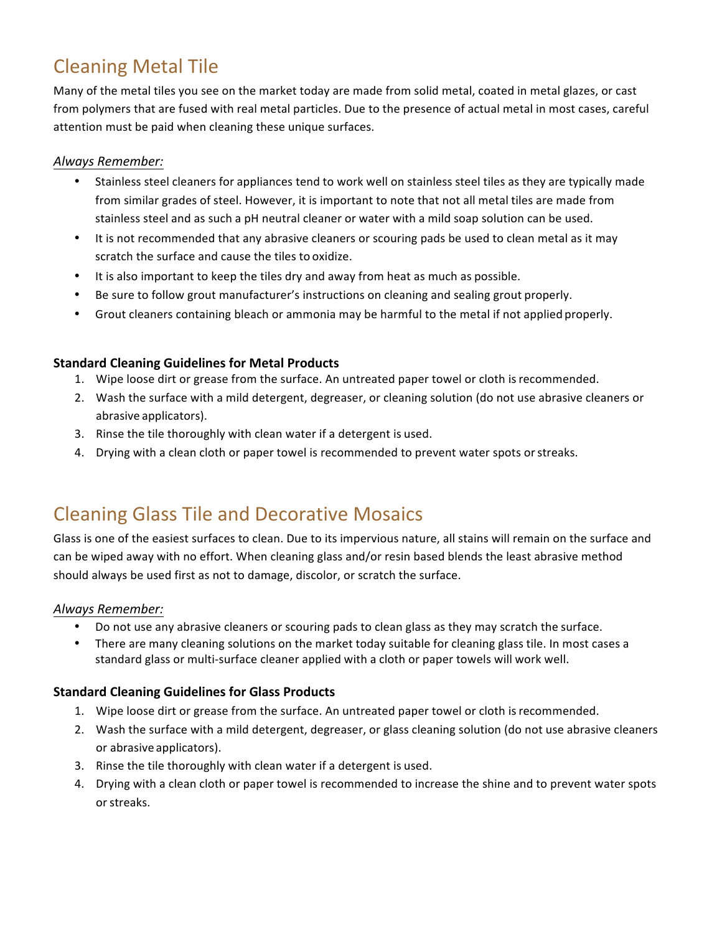# Cleaning Metal Tile

Many of the metal tiles you see on the market today are made from solid metal, coated in metal glazes, or cast from polymers that are fused with real metal particles. Due to the presence of actual metal in most cases, careful attention must be paid when cleaning these unique surfaces.

### *Always Remember:*

- Stainless steel cleaners for appliances tend to work well on stainless steel tiles as they are typically made from similar grades of steel. However, it is important to note that not all metal tiles are made from stainless steel and as such a pH neutral cleaner or water with a mild soap solution can be used.
- It is not recommended that any abrasive cleaners or scouring pads be used to clean metal as it may scratch the surface and cause the tiles to oxidize.
- It is also important to keep the tiles dry and away from heat as much as possible.
- Be sure to follow grout manufacturer's instructions on cleaning and sealing grout properly.
- Grout cleaners containing bleach or ammonia may be harmful to the metal if not applied properly.

### **Standard Cleaning Guidelines for Metal Products**

- 1. Wipe loose dirt or grease from the surface. An untreated paper towel or cloth is recommended.
- 2. Wash the surface with a mild detergent, degreaser, or cleaning solution (do not use abrasive cleaners or abrasive applicators).
- 3. Rinse the tile thoroughly with clean water if a detergent is used.
- 4. Drying with a clean cloth or paper towel is recommended to prevent water spots orstreaks.

### Cleaning Glass Tile and Decorative Mosaics

Glass is one of the easiest surfaces to clean. Due to its impervious nature, all stains will remain on the surface and can be wiped away with no effort. When cleaning glass and/or resin based blends the least abrasive method should always be used first as not to damage, discolor, or scratch the surface.

#### *Always Remember:*

- Do not use any abrasive cleaners or scouring pads to clean glass as they may scratch the surface.
- There are many cleaning solutions on the market today suitable for cleaning glass tile. In most cases a standard glass or multi-surface cleaner applied with a cloth or paper towels will work well.

### **Standard Cleaning Guidelines for Glass Products**

- 1. Wipe loose dirt or grease from the surface. An untreated paper towel or cloth isrecommended.
- 2. Wash the surface with a mild detergent, degreaser, or glass cleaning solution (do not use abrasive cleaners or abrasive applicators).
- 3. Rinse the tile thoroughly with clean water if a detergent is used.
- 4. Drying with a clean cloth or paper towel is recommended to increase the shine and to prevent water spots or streaks.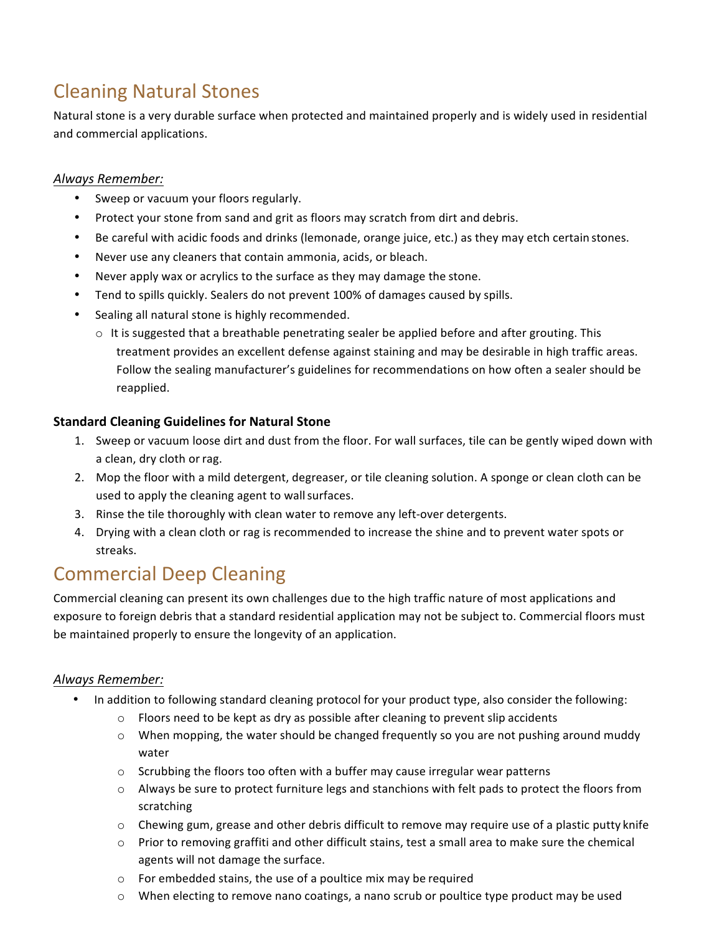# Cleaning Natural Stones

Natural stone is a very durable surface when protected and maintained properly and is widely used in residential and commercial applications.

### *Always Remember:*

- Sweep or vacuum your floors regularly.
- Protect your stone from sand and grit as floors may scratch from dirt and debris.
- Be careful with acidic foods and drinks (lemonade, orange juice, etc.) as they may etch certain stones.
- Never use any cleaners that contain ammonia, acids, or bleach.
- Never apply wax or acrylics to the surface as they may damage the stone.
- Tend to spills quickly. Sealers do not prevent 100% of damages caused by spills.
- Sealing all natural stone is highly recommended.
	- $\circ$  It is suggested that a breathable penetrating sealer be applied before and after grouting. This treatment provides an excellent defense against staining and may be desirable in high traffic areas. Follow the sealing manufacturer's guidelines for recommendations on how often a sealer should be reapplied.

### **Standard Cleaning Guidelines for Natural Stone**

- 1. Sweep or vacuum loose dirt and dust from the floor. For wall surfaces, tile can be gently wiped down with a clean, dry cloth orrag.
- 2. Mop the floor with a mild detergent, degreaser, or tile cleaning solution. A sponge or clean cloth can be used to apply the cleaning agent to wallsurfaces.
- 3. Rinse the tile thoroughly with clean water to remove any left-over detergents.
- 4. Drying with a clean cloth or rag is recommended to increase the shine and to prevent water spots or streaks.

## Commercial Deep Cleaning

Commercial cleaning can present its own challenges due to the high traffic nature of most applications and exposure to foreign debris that a standard residential application may not be subject to. Commercial floors must be maintained properly to ensure the longevity of an application.

### *Always Remember:*

- In addition to following standard cleaning protocol for your product type, also consider the following:
	- $\circ$  Floors need to be kept as dry as possible after cleaning to prevent slip accidents
	- $\circ$  When mopping, the water should be changed frequently so you are not pushing around muddy water
	- o Scrubbing the floors too often with a buffer may cause irregular wear patterns
	- o Always be sure to protect furniture legs and stanchions with felt pads to protect the floors from scratching
	- $\circ$  Chewing gum, grease and other debris difficult to remove may require use of a plastic putty knife
	- o Prior to removing graffiti and other difficult stains, test a small area to make sure the chemical agents will not damage the surface.
	- o For embedded stains, the use of a poultice mix may be required
	- $\circ$  When electing to remove nano coatings, a nano scrub or poultice type product may be used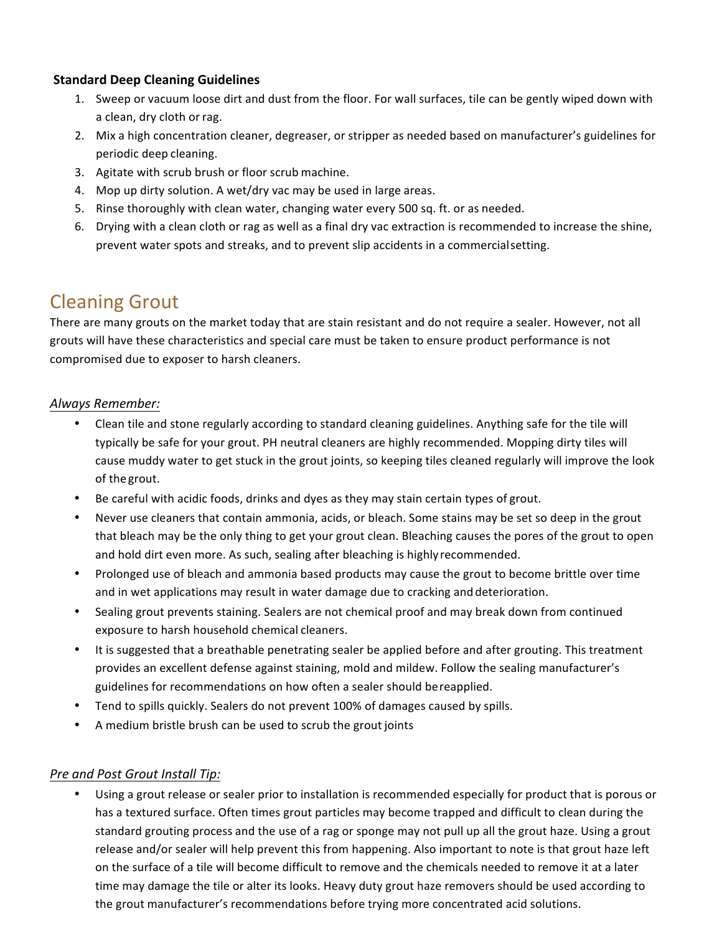#### **Standard Deep Cleaning Guidelines**

- 1. Sweep or vacuum loose dirt and dust from the floor. For wall surfaces, tile can be gently wiped down with a clean, dry cloth orrag.
- 2. Mix a high concentration cleaner, degreaser, or stripper as needed based on manufacturer's guidelines for periodic deep cleaning.
- 3. Agitate with scrub brush or floor scrub machine.
- 4. Mop up dirty solution. A wet/dry vac may be used in large areas.
- 5. Rinse thoroughly with clean water, changing water every 500 sq. ft. or as needed.
- 6. Drying with a clean cloth or rag as well as a final dry vac extraction is recommended to increase the shine, prevent water spots and streaks, and to prevent slip accidents in a commercialsetting.

### Cleaning Grout

There are many grouts on the market today that are stain resistant and do not require a sealer. However, not all grouts will have these characteristics and special care must be taken to ensure product performance is not compromised due to exposer to harsh cleaners.

### *Always Remember:*

- Clean tile and stone regularly according to standard cleaning guidelines. Anything safe for the tile will typically be safe for your grout. PH neutral cleaners are highly recommended. Mopping dirty tiles will cause muddy water to get stuck in the grout joints, so keeping tiles cleaned regularly will improve the look of the grout.
- Be careful with acidic foods, drinks and dyes as they may stain certain types of grout.
- Never use cleaners that contain ammonia, acids, or bleach. Some stains may be set so deep in the grout that bleach may be the only thing to get your grout clean. Bleaching causes the pores of the grout to open and hold dirt even more. As such, sealing after bleaching is highly recommended.
- Prolonged use of bleach and ammonia based products may cause the grout to become brittle over time and in wet applications may result in water damage due to cracking and deterioration.
- Sealing grout prevents staining. Sealers are not chemical proof and may break down from continued exposure to harsh household chemical cleaners.
- It is suggested that a breathable penetrating sealer be applied before and after grouting. This treatment provides an excellent defense against staining, mold and mildew. Follow the sealing manufacturer's guidelines for recommendations on how often a sealer should bereapplied.
- Tend to spills quickly. Sealers do not prevent 100% of damages caused by spills.
- A medium bristle brush can be used to scrub the grout joints

### *Pre and Post Grout Install Tip:*

• Using a grout release or sealer prior to installation is recommended especially for product that is porous or has a textured surface. Often times grout particles may become trapped and difficult to clean during the standard grouting process and the use of a rag or sponge may not pull up all the grout haze. Using a grout release and/or sealer will help prevent this from happening. Also important to note is that grout haze left on the surface of a tile will become difficult to remove and the chemicals needed to remove it at a later time may damage the tile or alter its looks. Heavy duty grout haze removers should be used according to the grout manufacturer's recommendations before trying more concentrated acid solutions.